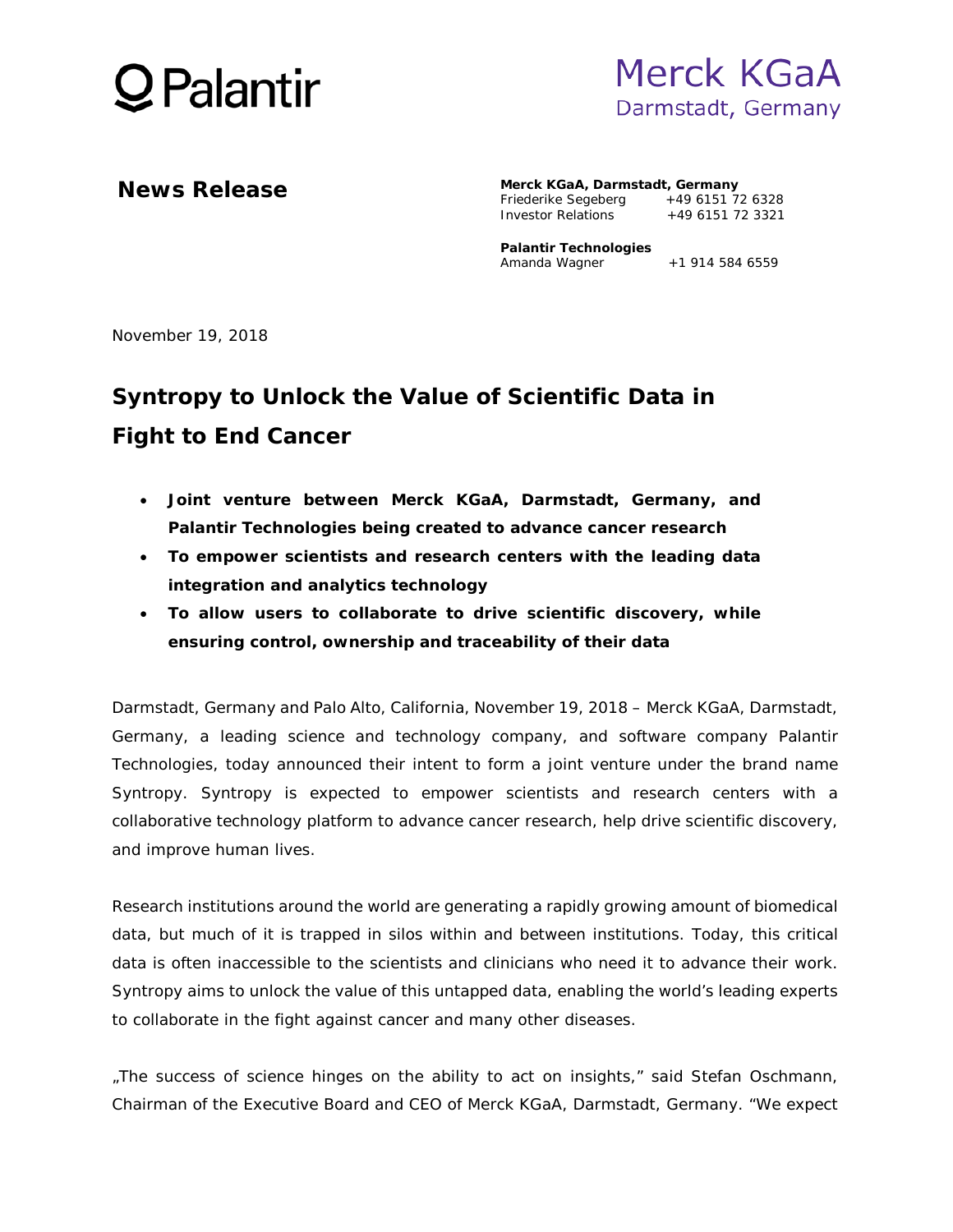



**News Release Merck KGaA, Darmstadt, Germany** Friederike Segeberg +49 6151 72 6328<br>Investor Relations +49 6151 72 3321 Investor Relations

> **Palantir Technologies** Amanda Wagner  $+1$  914 584 6559

November 19, 2018

## **Syntropy to Unlock the Value of Scientific Data in Fight to End Cancer**

- **Joint venture between Merck KGaA, Darmstadt, Germany, and Palantir Technologies being created to advance cancer research**
- **To empower scientists and research centers with the leading data integration and analytics technology**
- **To allow users to collaborate to drive scientific discovery, while ensuring control, ownership and traceability of their data**

Darmstadt, Germany and Palo Alto, California, November 19, 2018 – Merck KGaA, Darmstadt, Germany, a leading science and technology company, and software company Palantir Technologies, today announced their intent to form a joint venture under the brand name Syntropy. Syntropy is expected to empower scientists and research centers with a collaborative technology platform to advance cancer research, help drive scientific discovery, and improve human lives.

Research institutions around the world are generating a rapidly growing amount of biomedical data, but much of it is trapped in silos within and between institutions. Today, this critical data is often inaccessible to the scientists and clinicians who need it to advance their work. Syntropy aims to unlock the value of this untapped data, enabling the world's leading experts to collaborate in the fight against cancer and many other diseases.

"The success of science hinges on the ability to act on insights," said Stefan Oschmann, Chairman of the Executive Board and CEO of Merck KGaA, Darmstadt, Germany. "We expect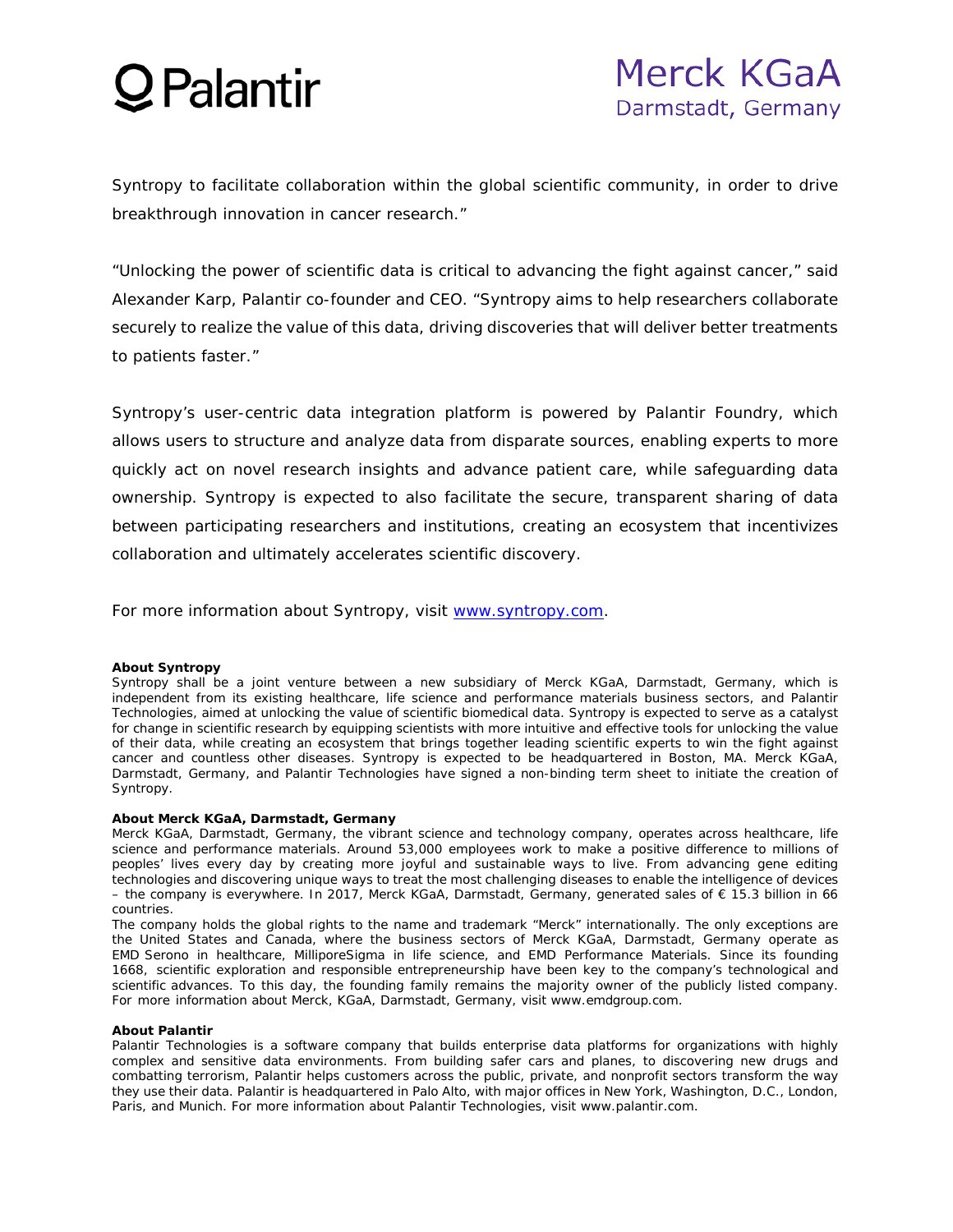# $\mathcal Q$  Palantir

Syntropy to facilitate collaboration within the global scientific community, in order to drive breakthrough innovation in cancer research."

"Unlocking the power of scientific data is critical to advancing the fight against cancer," said Alexander Karp, Palantir co-founder and CEO. "Syntropy aims to help researchers collaborate securely to realize the value of this data, driving discoveries that will deliver better treatments to patients faster."

Syntropy's user-centric data integration platform is powered by Palantir Foundry, which allows users to structure and analyze data from disparate sources, enabling experts to more quickly act on novel research insights and advance patient care, while safeguarding data ownership. Syntropy is expected to also facilitate the secure, transparent sharing of data between participating researchers and institutions, creating an ecosystem that incentivizes collaboration and ultimately accelerates scientific discovery.

For more information about Syntropy, visit www.syntropy.com.

### **About Syntropy**

Syntropy shall be a joint venture between a new subsidiary of Merck KGaA, Darmstadt, Germany, which is independent from its existing healthcare, life science and performance materials business sectors, and Palantir Technologies, aimed at unlocking the value of scientific biomedical data. Syntropy is expected to serve as a catalyst for change in scientific research by equipping scientists with more intuitive and effective tools for unlocking the value of their data, while creating an ecosystem that brings together leading scientific experts to win the fight against cancer and countless other diseases. Syntropy is expected to be headquartered in Boston, MA. Merck KGaA, Darmstadt, Germany, and Palantir Technologies have signed a non-binding term sheet to initiate the creation of Syntropy.

#### **About Merck KGaA, Darmstadt, Germany**

Merck KGaA, Darmstadt, Germany, the vibrant science and technology company, operates across healthcare, life science and performance materials. Around 53,000 employees work to make a positive difference to millions of peoples' lives every day by creating more joyful and sustainable ways to live. From advancing gene editing technologies and discovering unique ways to treat the most challenging diseases to enable the intelligence of devices – the company is everywhere. In 2017, Merck KGaA, Darmstadt, Germany, generated sales of € 15.3 billion in 66 countries.

The company holds the global rights to the name and trademark "Merck" internationally. The only exceptions are the United States and Canada, where the business sectors of Merck KGaA, Darmstadt, Germany operate as EMD Serono in healthcare, MilliporeSigma in life science, and EMD Performance Materials. Since its founding 1668, scientific exploration and responsible entrepreneurship have been key to the company's technological and scientific advances. To this day, the founding family remains the majority owner of the publicly listed company. For more information about Merck, KGaA, Darmstadt, Germany, visit www.emdgroup.com.

#### **About Palantir**

Palantir Technologies is a software company that builds enterprise data platforms for organizations with highly complex and sensitive data environments. From building safer cars and planes, to discovering new drugs and combatting terrorism, Palantir helps customers across the public, private, and nonprofit sectors transform the way they use their data. Palantir is headquartered in Palo Alto, with major offices in New York, Washington, D.C., London, Paris, and Munich. For more information about Palantir Technologies, visit www.palantir.com.